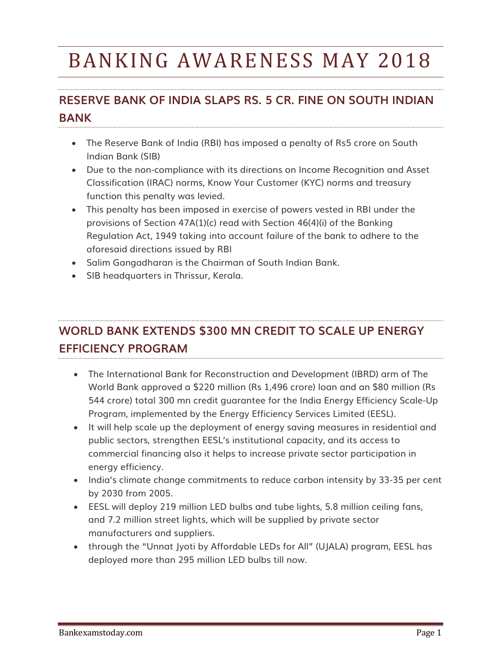# BANKING AWARENESS MAY 2018

# **RESERVE BANK OF INDIA SLAPS RS. 5 CR. FINE ON SOUTH INDIAN BANK**

- The Reserve Bank of India (RBI) has imposed a penalty of Rs5 crore on South Indian Bank (SIB)
- Due to the non-compliance with its directions on Income Recognition and Asset Classification (IRAC) norms, Know Your Customer (KYC) norms and treasury function this penalty was levied.
- This penalty has been imposed in exercise of powers vested in RBI under the provisions of Section 47A(1)(c) read with Section 46(4)(i) of the Banking Regulation Act, 1949 taking into account failure of the bank to adhere to the aforesaid directions issued by RBI
- Salim Gangadharan is the Chairman of South Indian Bank.
- SIB headquarters in Thrissur, Kerala.

# **WORLD BANK EXTENDS \$300 MN CREDIT TO SCALE UP ENERGY EFFICIENCY PROGRAM**

- The International Bank for Reconstruction and Development (IBRD) arm of The World Bank approved a \$220 million (Rs 1,496 crore) loan and an \$80 million (Rs 544 crore) total 300 mn credit guarantee for the India Energy Efficiency Scale-Up Program, implemented by the Energy Efficiency Services Limited (EESL).
- It will help scale up the deployment of energy saving measures in residential and public sectors, strengthen EESL's institutional capacity, and its access to commercial financing also it helps to increase private sector participation in energy efficiency.
- India's climate change commitments to reduce carbon intensity by 33-35 per cent by 2030 from 2005.
- EESL will deploy 219 million LED bulbs and tube lights, 5.8 million ceiling fans, and 7.2 million street lights, which will be supplied by private sector manufacturers and suppliers.
- through the "Unnat Jyoti by Affordable LEDs for All" (UJALA) program, EESL has deployed more than 295 million LED bulbs till now.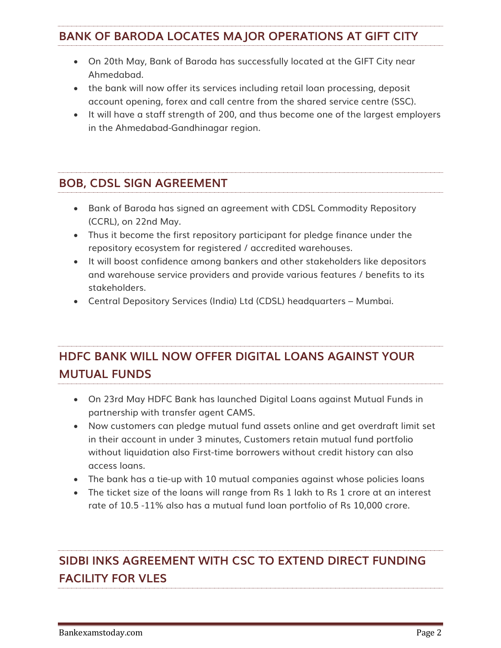#### **BANK OF BARODA LOCATES MAJOR OPERATIONS AT GIFT CITY**

- On 20th May, Bank of Baroda has successfully located at the GIFT City near Ahmedabad.
- the bank will now offer its services including retail loan processing, deposit account opening, forex and call centre from the shared service centre (SSC).
- It will have a staff strength of 200, and thus become one of the largest employers in the Ahmedabad-Gandhinagar region.

#### **BOB, CDSL SIGN AGREEMENT**

- Bank of Baroda has signed an agreement with CDSL Commodity Repository (CCRL), on 22nd May.
- Thus it become the first repository participant for pledge finance under the repository ecosystem for registered / accredited warehouses.
- It will boost confidence among bankers and other stakeholders like depositors and warehouse service providers and provide various features / benefits to its stakeholders.
- Central Depository Services (India) Ltd (CDSL) headquarters Mumbai.

## **HDFC BANK WILL NOW OFFER DIGITAL LOANS AGAINST YOUR MUTUAL FUNDS**

- On 23rd May HDFC Bank has launched Digital Loans against Mutual Funds in partnership with transfer agent CAMS.
- Now customers can pledge mutual fund assets online and get overdraft limit set in their account in under 3 minutes, Customers retain mutual fund portfolio without liquidation also First-time borrowers without credit history can also access loans.
- The bank has a tie-up with 10 mutual companies against whose policies loans
- The ticket size of the loans will range from Rs 1 lakh to Rs 1 crore at an interest rate of 10.5 -11% also has a mutual fund loan portfolio of Rs 10,000 crore.

# **SIDBI INKS AGREEMENT WITH CSC TO EXTEND DIRECT FUNDING FACILITY FOR VLES**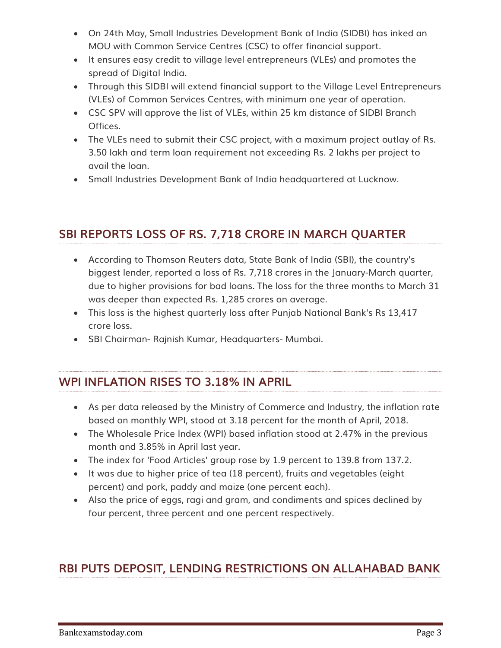- On 24th May, Small Industries Development Bank of India (SIDBI) has inked an MOU with Common Service Centres (CSC) to offer financial support.
- It ensures easy credit to village level entrepreneurs (VLEs) and promotes the spread of Digital India.
- Through this SIDBI will extend financial support to the Village Level Entrepreneurs (VLEs) of Common Services Centres, with minimum one year of operation.
- CSC SPV will approve the list of VLEs, within 25 km distance of SIDBI Branch Offices.
- The VLEs need to submit their CSC project, with a maximum project outlay of Rs. 3.50 lakh and term loan requirement not exceeding Rs. 2 lakhs per project to avail the loan.
- Small Industries Development Bank of India headquartered at Lucknow.

## **SBI REPORTS LOSS OF RS. 7,718 CRORE IN MARCH QUARTER**

- According to Thomson Reuters data, State Bank of India (SBI), the country's biggest lender, reported a loss of Rs. 7,718 crores in the January-March quarter, due to higher provisions for bad loans. The loss for the three months to March 31 was deeper than expected Rs. 1,285 crores on average.
- This loss is the highest quarterly loss after Punjab National Bank's Rs 13,417 crore loss.
- SBI Chairman- Rajnish Kumar, Headquarters- Mumbai.

#### **WPI INFLATION RISES TO 3.18% IN APRIL**

- As per data released by the Ministry of Commerce and Industry, the inflation rate based on monthly WPI, stood at 3.18 percent for the month of April, 2018.
- The Wholesale Price Index (WPI) based inflation stood at 2.47% in the previous month and 3.85% in April last year.
- The index for 'Food Articles' group rose by 1.9 percent to 139.8 from 137.2.
- It was due to higher price of tea (18 percent), fruits and vegetables (eight percent) and pork, paddy and maize (one percent each).
- Also the price of eggs, ragi and gram, and condiments and spices declined by four percent, three percent and one percent respectively.

#### **RBI PUTS DEPOSIT, LENDING RESTRICTIONS ON ALLAHABAD BANK**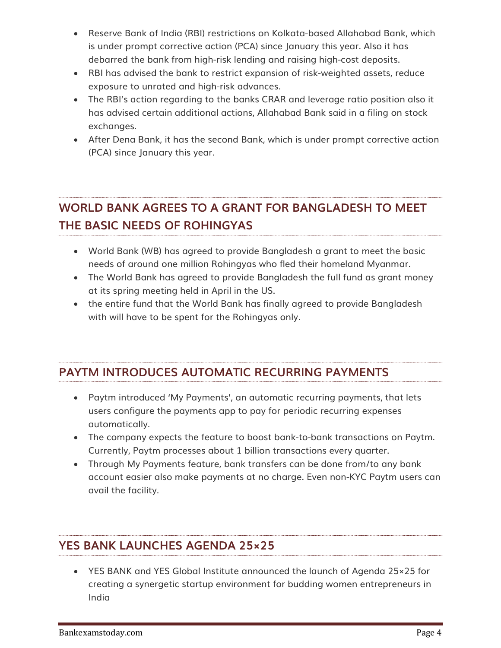- Reserve Bank of India (RBI) restrictions on Kolkata-based Allahabad Bank, which is under prompt corrective action (PCA) since January this year. Also it has debarred the bank from high-risk lending and raising high-cost deposits.
- RBI has advised the bank to restrict expansion of risk-weighted assets, reduce exposure to unrated and high-risk advances.
- The RBI's action regarding to the banks CRAR and leverage ratio position also it has advised certain additional actions, Allahabad Bank said in a filing on stock exchanges.
- After Dena Bank, it has the second Bank, which is under prompt corrective action (PCA) since January this year.

## **WORLD BANK AGREES TO A GRANT FOR BANGLADESH TO MEET THE BASIC NEEDS OF ROHINGYAS**

- World Bank (WB) has agreed to provide Bangladesh a grant to meet the basic needs of around one million Rohingyas who fled their homeland Myanmar.
- The World Bank has agreed to provide Bangladesh the full fund as grant money at its spring meeting held in April in the US.
- the entire fund that the World Bank has finally agreed to provide Bangladesh with will have to be spent for the Rohingyas only.

## **PAYTM INTRODUCES AUTOMATIC RECURRING PAYMENTS**

- Paytm introduced 'My Payments', an automatic recurring payments, that lets users configure the payments app to pay for periodic recurring expenses automatically.
- The company expects the feature to boost bank-to-bank transactions on Paytm. Currently, Paytm processes about 1 billion transactions every quarter.
- Through My Payments feature, bank transfers can be done from/to any bank account easier also make payments at no charge. Even non-KYC Paytm users can avail the facility.

## **YES BANK LAUNCHES AGENDA 25×25**

 YES BANK and YES Global Institute announced the launch of Agenda 25×25 for creating a synergetic startup environment for budding women entrepreneurs in India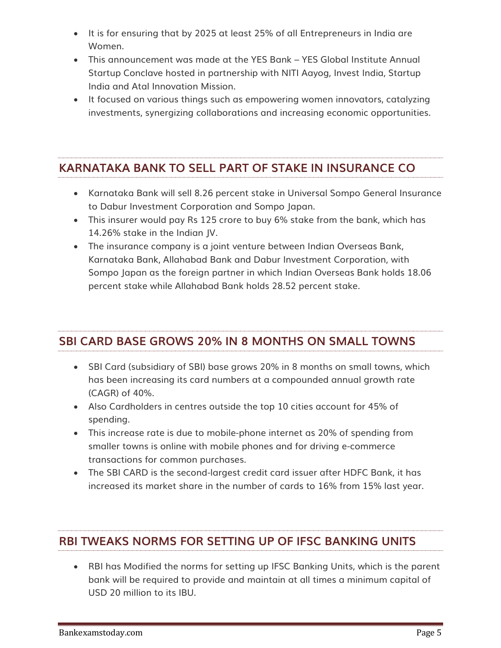- It is for ensuring that by 2025 at least 25% of all Entrepreneurs in India are Women.
- This announcement was made at the YES Bank YES Global Institute Annual Startup Conclave hosted in partnership with NITI Aayog, Invest India, Startup India and Atal Innovation Mission.
- It focused on various things such as empowering women innovators, catalyzing investments, synergizing collaborations and increasing economic opportunities.

## **KARNATAKA BANK TO SELL PART OF STAKE IN INSURANCE CO**

- Karnataka Bank will sell 8.26 percent stake in Universal Sompo General Insurance to Dabur Investment Corporation and Sompo Japan.
- This insurer would pay Rs 125 crore to buy 6% stake from the bank, which has 14.26% stake in the Indian JV.
- The insurance company is a joint venture between Indian Overseas Bank, Karnataka Bank, Allahabad Bank and Dabur Investment Corporation, with Sompo Japan as the foreign partner in which Indian Overseas Bank holds 18.06 percent stake while Allahabad Bank holds 28.52 percent stake.

## **SBI CARD BASE GROWS 20% IN 8 MONTHS ON SMALL TOWNS**

- SBI Card (subsidiary of SBI) base grows 20% in 8 months on small towns, which has been increasing its card numbers at a compounded annual growth rate (CAGR) of 40%.
- Also Cardholders in centres outside the top 10 cities account for 45% of spending.
- This increase rate is due to mobile-phone internet as 20% of spending from smaller towns is online with mobile phones and for driving e-commerce transactions for common purchases.
- The SBI CARD is the second-largest credit card issuer after HDFC Bank, it has increased its market share in the number of cards to 16% from 15% last year.

## **RBI TWEAKS NORMS FOR SETTING UP OF IFSC BANKING UNITS**

 RBI has Modified the norms for setting up IFSC Banking Units, which is the parent bank will be required to provide and maintain at all times a minimum capital of USD 20 million to its IBU.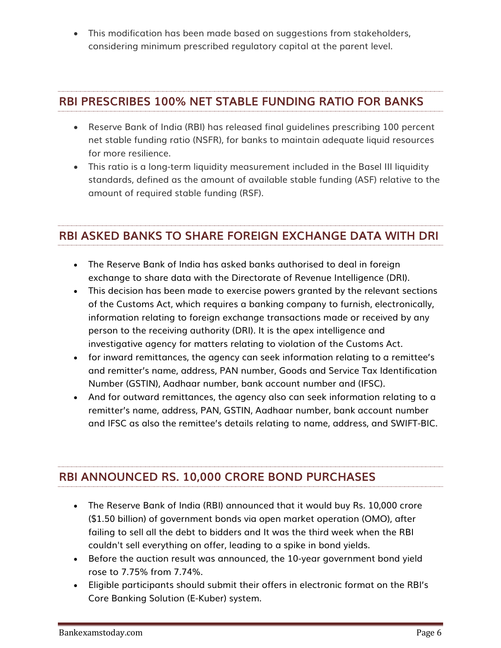This modification has been made based on suggestions from stakeholders, considering minimum prescribed regulatory capital at the parent level.

#### **RBI PRESCRIBES 100% NET STABLE FUNDING RATIO FOR BANKS**

- Reserve Bank of India (RBI) has released final guidelines prescribing 100 percent net stable funding ratio (NSFR), for banks to maintain adequate liquid resources for more resilience.
- This ratio is a long-term liquidity measurement included in the Basel III liquidity standards, defined as the amount of available stable funding (ASF) relative to the amount of required stable funding (RSF).

## **RBI ASKED BANKS TO SHARE FOREIGN EXCHANGE DATA WITH DRI**

- The Reserve Bank of India has asked banks authorised to deal in foreign exchange to share data with the Directorate of Revenue Intelligence (DRI).
- This decision has been made to exercise powers granted by the relevant sections of the Customs Act, which requires a banking company to furnish, electronically, information relating to foreign exchange transactions made or received by any person to the receiving authority (DRI). It is the apex intelligence and investigative agency for matters relating to violation of the Customs Act.
- for inward remittances, the agency can seek information relating to a remittee's and remitter's name, address, PAN number, Goods and Service Tax Identification Number (GSTIN), Aadhaar number, bank account number and (IFSC).
- And for outward remittances, the agency also can seek information relating to a remitter's name, address, PAN, GSTIN, Aadhaar number, bank account number and IFSC as also the remittee's details relating to name, address, and SWIFT-BIC.

#### **RBI ANNOUNCED RS. 10,000 CRORE BOND PURCHASES**

- The Reserve Bank of India (RBI) announced that it would buy Rs. 10,000 crore (\$1.50 billion) of government bonds via open market operation (OMO), after failing to sell all the debt to bidders and It was the third week when the RBI couldn't sell everything on offer, leading to a spike in bond yields.
- Before the auction result was announced, the 10-year government bond yield rose to 7.75% from 7.74%.
- Eligible participants should submit their offers in electronic format on the RBI's Core Banking Solution (E-Kuber) system.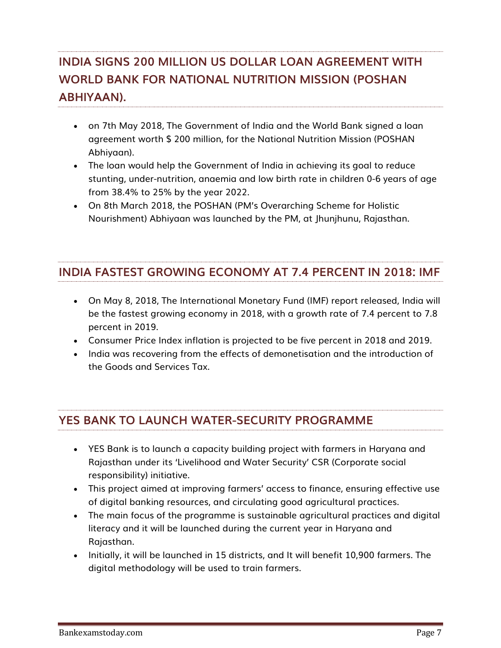# **INDIA SIGNS 200 MILLION US DOLLAR LOAN AGREEMENT WITH WORLD BANK FOR NATIONAL NUTRITION MISSION (POSHAN ABHIYAAN).**

- on 7th May 2018, The Government of India and the World Bank signed a loan agreement worth \$ 200 million, for the National Nutrition Mission (POSHAN Abhiyaan).
- The loan would help the Government of India in achieving its goal to reduce stunting, under-nutrition, anaemia and low birth rate in children 0-6 years of age from 38.4% to 25% by the year 2022.
- On 8th March 2018, the POSHAN (PM's Overarching Scheme for Holistic Nourishment) Abhiyaan was launched by the PM, at Jhunjhunu, Rajasthan.

## **INDIA FASTEST GROWING ECONOMY AT 7.4 PERCENT IN 2018: IMF**

- On May 8, 2018, The International Monetary Fund (IMF) report released, India will be the fastest growing economy in 2018, with a growth rate of 7.4 percent to 7.8 percent in 2019.
- Consumer Price Index inflation is projected to be five percent in 2018 and 2019.
- India was recovering from the effects of demonetisation and the introduction of the Goods and Services Tax.

## **YES BANK TO LAUNCH WATER-SECURITY PROGRAMME**

- YES Bank is to launch a capacity building project with farmers in Haryana and Rajasthan under its 'Livelihood and Water Security' CSR (Corporate social responsibility) initiative.
- This project aimed at improving farmers' access to finance, ensuring effective use of digital banking resources, and circulating good agricultural practices.
- The main focus of the programme is sustainable agricultural practices and digital literacy and it will be launched during the current year in Haryana and Rajasthan.
- Initially, it will be launched in 15 districts, and It will benefit 10,900 farmers. The digital methodology will be used to train farmers.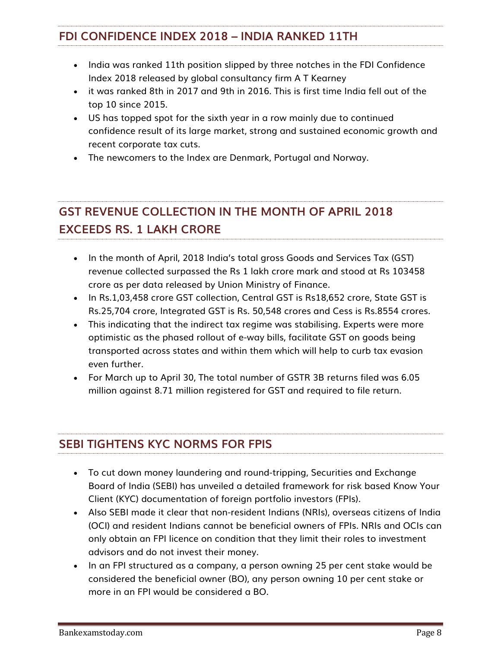#### **FDI CONFIDENCE INDEX 2018 – INDIA RANKED 11TH**

- India was ranked 11th position slipped by three notches in the FDI Confidence Index 2018 released by global consultancy firm A T Kearney
- it was ranked 8th in 2017 and 9th in 2016. This is first time India fell out of the top 10 since 2015.
- US has topped spot for the sixth year in a row mainly due to continued confidence result of its large market, strong and sustained economic growth and recent corporate tax cuts.
- The newcomers to the Index are Denmark, Portugal and Norway.

# **GST REVENUE COLLECTION IN THE MONTH OF APRIL 2018 EXCEEDS RS. 1 LAKH CRORE**

- In the month of April, 2018 India's total gross Goods and Services Tax (GST) revenue collected surpassed the Rs 1 lakh crore mark and stood at Rs 103458 crore as per data released by Union Ministry of Finance.
- In Rs.1,03,458 crore GST collection, Central GST is Rs18,652 crore, State GST is Rs.25,704 crore, Integrated GST is Rs. 50,548 crores and Cess is Rs.8554 crores.
- This indicating that the indirect tax regime was stabilising. Experts were more optimistic as the phased rollout of e-way bills, facilitate GST on goods being transported across states and within them which will help to curb tax evasion even further.
- For March up to April 30, The total number of GSTR 3B returns filed was 6.05 million against 8.71 million registered for GST and required to file return.

## **SEBI TIGHTENS KYC NORMS FOR FPIS**

- To cut down money laundering and round-tripping, Securities and Exchange Board of India (SEBI) has unveiled a detailed framework for risk based Know Your Client (KYC) documentation of foreign portfolio investors (FPIs).
- Also SEBI made it clear that non-resident Indians (NRIs), overseas citizens of India (OCI) and resident Indians cannot be beneficial owners of FPIs. NRIs and OCIs can only obtain an FPI licence on condition that they limit their roles to investment advisors and do not invest their money.
- In an FPI structured as a company, a person owning 25 per cent stake would be considered the beneficial owner (BO), any person owning 10 per cent stake or more in an FPI would be considered a BO.